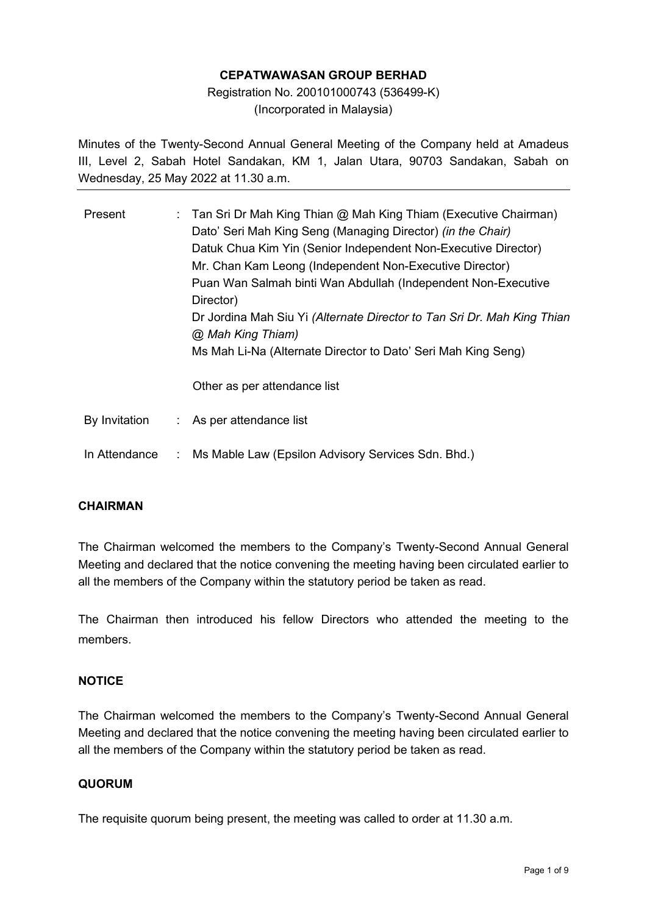### **CEPATWAWASAN GROUP BERHAD**

# Registration No. 200101000743 (536499-K) (Incorporated in Malaysia)

Minutes of the Twenty-Second Annual General Meeting of the Company held at Amadeus III, Level 2, Sabah Hotel Sandakan, KM 1, Jalan Utara, 90703 Sandakan, Sabah on Wednesday, 25 May 2022 at 11.30 a.m.

| Present       |                | : Tan Sri Dr Mah King Thian @ Mah King Thiam (Executive Chairman)<br>Dato' Seri Mah King Seng (Managing Director) (in the Chair)<br>Datuk Chua Kim Yin (Senior Independent Non-Executive Director)<br>Mr. Chan Kam Leong (Independent Non-Executive Director)<br>Puan Wan Salmah binti Wan Abdullah (Independent Non-Executive<br>Director)<br>Dr Jordina Mah Siu Yi (Alternate Director to Tan Sri Dr. Mah King Thian<br>@ Mah King Thiam)<br>Ms Mah Li-Na (Alternate Director to Dato' Seri Mah King Seng)<br>Other as per attendance list |
|---------------|----------------|----------------------------------------------------------------------------------------------------------------------------------------------------------------------------------------------------------------------------------------------------------------------------------------------------------------------------------------------------------------------------------------------------------------------------------------------------------------------------------------------------------------------------------------------|
| By Invitation |                | : As per attendance list                                                                                                                                                                                                                                                                                                                                                                                                                                                                                                                     |
| In Attendance | $\sim 10^{-1}$ | Ms Mable Law (Epsilon Advisory Services Sdn. Bhd.)                                                                                                                                                                                                                                                                                                                                                                                                                                                                                           |

### **CHAIRMAN**

The Chairman welcomed the members to the Company's Twenty-Second Annual General Meeting and declared that the notice convening the meeting having been circulated earlier to all the members of the Company within the statutory period be taken as read.

The Chairman then introduced his fellow Directors who attended the meeting to the members.

### **NOTICE**

The Chairman welcomed the members to the Company's Twenty-Second Annual General Meeting and declared that the notice convening the meeting having been circulated earlier to all the members of the Company within the statutory period be taken as read.

### **QUORUM**

The requisite quorum being present, the meeting was called to order at 11.30 a.m.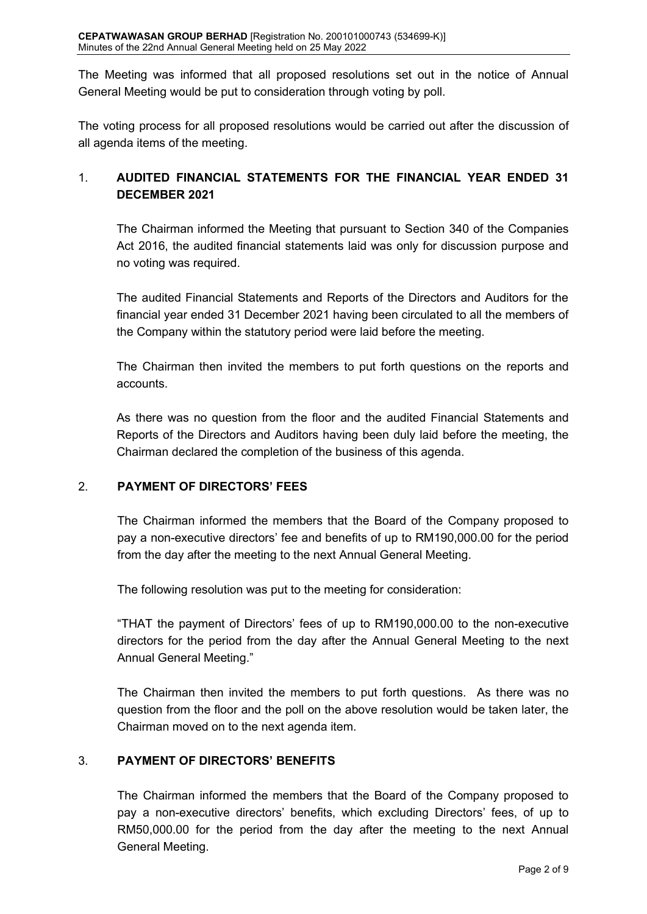The Meeting was informed that all proposed resolutions set out in the notice of Annual General Meeting would be put to consideration through voting by poll.

The voting process for all proposed resolutions would be carried out after the discussion of all agenda items of the meeting.

# 1. **AUDITED FINANCIAL STATEMENTS FOR THE FINANCIAL YEAR ENDED 31 DECEMBER 2021**

The Chairman informed the Meeting that pursuant to Section 340 of the Companies Act 2016, the audited financial statements laid was only for discussion purpose and no voting was required.

The audited Financial Statements and Reports of the Directors and Auditors for the financial year ended 31 December 2021 having been circulated to all the members of the Company within the statutory period were laid before the meeting.

The Chairman then invited the members to put forth questions on the reports and accounts.

As there was no question from the floor and the audited Financial Statements and Reports of the Directors and Auditors having been duly laid before the meeting, the Chairman declared the completion of the business of this agenda.

# 2. **PAYMENT OF DIRECTORS' FEES**

The Chairman informed the members that the Board of the Company proposed to pay a non-executive directors' fee and benefits of up to RM190,000.00 for the period from the day after the meeting to the next Annual General Meeting.

The following resolution was put to the meeting for consideration:

"THAT the payment of Directors' fees of up to RM190,000.00 to the non-executive directors for the period from the day after the Annual General Meeting to the next Annual General Meeting."

The Chairman then invited the members to put forth questions. As there was no question from the floor and the poll on the above resolution would be taken later, the Chairman moved on to the next agenda item.

# 3. **PAYMENT OF DIRECTORS' BENEFITS**

The Chairman informed the members that the Board of the Company proposed to pay a non-executive directors' benefits, which excluding Directors' fees, of up to RM50,000.00 for the period from the day after the meeting to the next Annual General Meeting.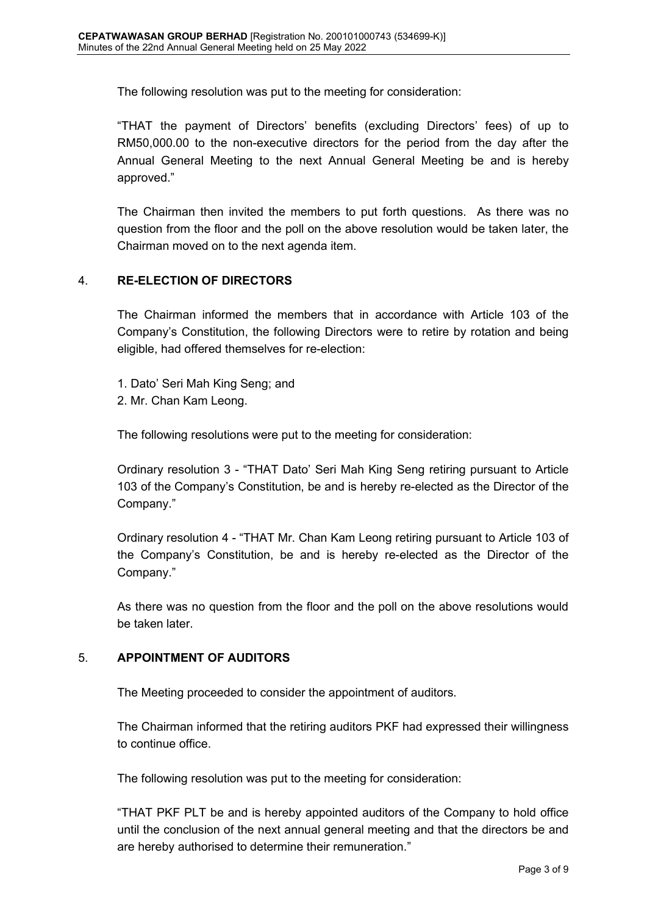The following resolution was put to the meeting for consideration:

"THAT the payment of Directors' benefits (excluding Directors' fees) of up to RM50,000.00 to the non-executive directors for the period from the day after the Annual General Meeting to the next Annual General Meeting be and is hereby approved."

The Chairman then invited the members to put forth questions. As there was no question from the floor and the poll on the above resolution would be taken later, the Chairman moved on to the next agenda item.

### 4. **RE-ELECTION OF DIRECTORS**

The Chairman informed the members that in accordance with Article 103 of the Company's Constitution, the following Directors were to retire by rotation and being eligible, had offered themselves for re-election:

- 1. Dato' Seri Mah King Seng; and
- 2. Mr. Chan Kam Leong.

The following resolutions were put to the meeting for consideration:

Ordinary resolution 3 - "THAT Dato' Seri Mah King Seng retiring pursuant to Article 103 of the Company's Constitution, be and is hereby re-elected as the Director of the Company."

Ordinary resolution 4 - "THAT Mr. Chan Kam Leong retiring pursuant to Article 103 of the Company's Constitution, be and is hereby re-elected as the Director of the Company."

As there was no question from the floor and the poll on the above resolutions would be taken later.

# 5. **APPOINTMENT OF AUDITORS**

The Meeting proceeded to consider the appointment of auditors.

The Chairman informed that the retiring auditors PKF had expressed their willingness to continue office.

The following resolution was put to the meeting for consideration:

"THAT PKF PLT be and is hereby appointed auditors of the Company to hold office until the conclusion of the next annual general meeting and that the directors be and are hereby authorised to determine their remuneration."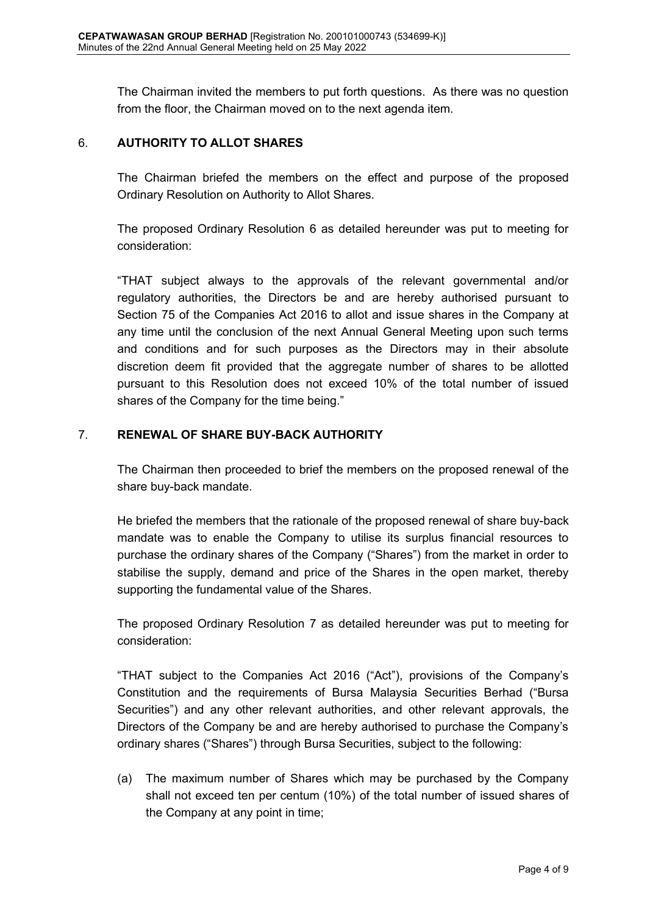The Chairman invited the members to put forth questions. As there was no question from the floor, the Chairman moved on to the next agenda item.

### 6. **AUTHORITY TO ALLOT SHARES**

The Chairman briefed the members on the effect and purpose of the proposed Ordinary Resolution on Authority to Allot Shares.

The proposed Ordinary Resolution 6 as detailed hereunder was put to meeting for consideration:

"THAT subject always to the approvals of the relevant governmental and/or regulatory authorities, the Directors be and are hereby authorised pursuant to Section 75 of the Companies Act 2016 to allot and issue shares in the Company at any time until the conclusion of the next Annual General Meeting upon such terms and conditions and for such purposes as the Directors may in their absolute discretion deem fit provided that the aggregate number of shares to be allotted pursuant to this Resolution does not exceed 10% of the total number of issued shares of the Company for the time being."

# 7. **RENEWAL OF SHARE BUY-BACK AUTHORITY**

The Chairman then proceeded to brief the members on the proposed renewal of the share buy-back mandate.

He briefed the members that the rationale of the proposed renewal of share buy-back mandate was to enable the Company to utilise its surplus financial resources to purchase the ordinary shares of the Company ("Shares") from the market in order to stabilise the supply, demand and price of the Shares in the open market, thereby supporting the fundamental value of the Shares.

The proposed Ordinary Resolution 7 as detailed hereunder was put to meeting for consideration:

"THAT subject to the Companies Act 2016 ("Act"), provisions of the Company's Constitution and the requirements of Bursa Malaysia Securities Berhad ("Bursa Securities") and any other relevant authorities, and other relevant approvals, the Directors of the Company be and are hereby authorised to purchase the Company's ordinary shares ("Shares") through Bursa Securities, subject to the following:

(a) The maximum number of Shares which may be purchased by the Company shall not exceed ten per centum (10%) of the total number of issued shares of the Company at any point in time;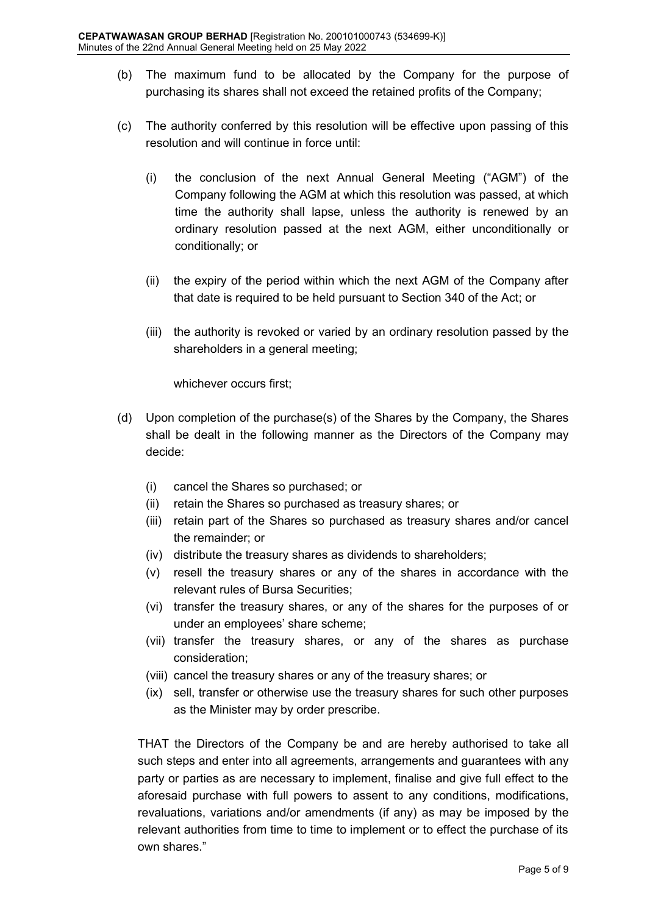- (b) The maximum fund to be allocated by the Company for the purpose of purchasing its shares shall not exceed the retained profits of the Company;
- (c) The authority conferred by this resolution will be effective upon passing of this resolution and will continue in force until:
	- (i) the conclusion of the next Annual General Meeting ("AGM") of the Company following the AGM at which this resolution was passed, at which time the authority shall lapse, unless the authority is renewed by an ordinary resolution passed at the next AGM, either unconditionally or conditionally; or
	- (ii) the expiry of the period within which the next AGM of the Company after that date is required to be held pursuant to Section 340 of the Act; or
	- (iii) the authority is revoked or varied by an ordinary resolution passed by the shareholders in a general meeting;

whichever occurs first;

- (d) Upon completion of the purchase(s) of the Shares by the Company, the Shares shall be dealt in the following manner as the Directors of the Company may decide:
	- (i) cancel the Shares so purchased; or
	- (ii) retain the Shares so purchased as treasury shares; or
	- (iii) retain part of the Shares so purchased as treasury shares and/or cancel the remainder; or
	- (iv) distribute the treasury shares as dividends to shareholders;
	- (v) resell the treasury shares or any of the shares in accordance with the relevant rules of Bursa Securities;
	- (vi) transfer the treasury shares, or any of the shares for the purposes of or under an employees' share scheme;
	- (vii) transfer the treasury shares, or any of the shares as purchase consideration;
	- (viii) cancel the treasury shares or any of the treasury shares; or
	- (ix) sell, transfer or otherwise use the treasury shares for such other purposes as the Minister may by order prescribe.

THAT the Directors of the Company be and are hereby authorised to take all such steps and enter into all agreements, arrangements and guarantees with any party or parties as are necessary to implement, finalise and give full effect to the aforesaid purchase with full powers to assent to any conditions, modifications, revaluations, variations and/or amendments (if any) as may be imposed by the relevant authorities from time to time to implement or to effect the purchase of its own shares."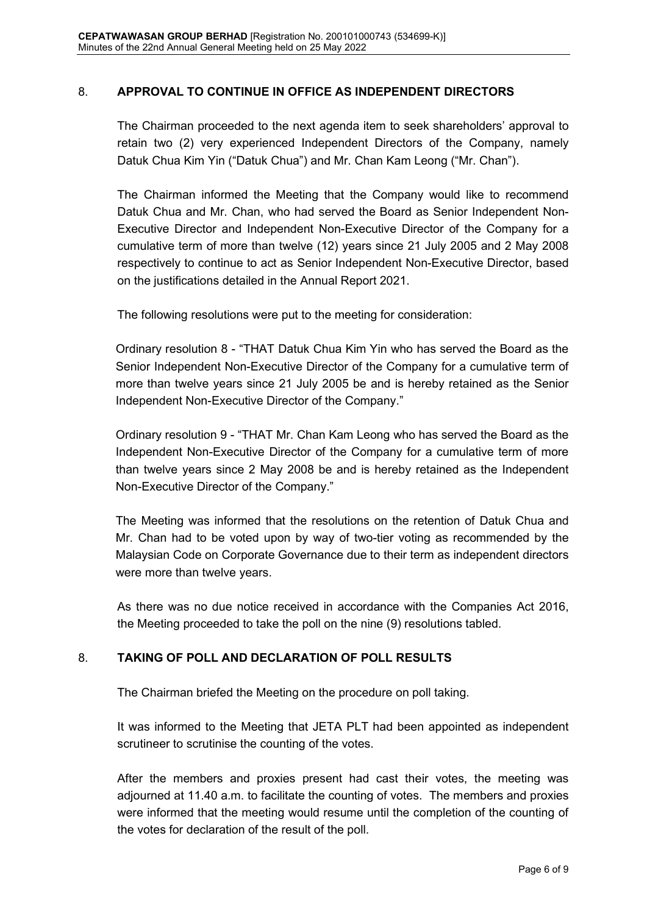### 8. **APPROVAL TO CONTINUE IN OFFICE AS INDEPENDENT DIRECTORS**

The Chairman proceeded to the next agenda item to seek shareholders' approval to retain two (2) very experienced Independent Directors of the Company, namely Datuk Chua Kim Yin ("Datuk Chua") and Mr. Chan Kam Leong ("Mr. Chan").

The Chairman informed the Meeting that the Company would like to recommend Datuk Chua and Mr. Chan, who had served the Board as Senior Independent Non-Executive Director and Independent Non-Executive Director of the Company for a cumulative term of more than twelve (12) years since 21 July 2005 and 2 May 2008 respectively to continue to act as Senior Independent Non-Executive Director, based on the justifications detailed in the Annual Report 2021.

The following resolutions were put to the meeting for consideration:

Ordinary resolution 8 - "THAT Datuk Chua Kim Yin who has served the Board as the Senior Independent Non-Executive Director of the Company for a cumulative term of more than twelve years since 21 July 2005 be and is hereby retained as the Senior Independent Non-Executive Director of the Company."

Ordinary resolution 9 - "THAT Mr. Chan Kam Leong who has served the Board as the Independent Non-Executive Director of the Company for a cumulative term of more than twelve years since 2 May 2008 be and is hereby retained as the Independent Non-Executive Director of the Company."

The Meeting was informed that the resolutions on the retention of Datuk Chua and Mr. Chan had to be voted upon by way of two-tier voting as recommended by the Malaysian Code on Corporate Governance due to their term as independent directors were more than twelve years.

As there was no due notice received in accordance with the Companies Act 2016, the Meeting proceeded to take the poll on the nine (9) resolutions tabled.

# 8. **TAKING OF POLL AND DECLARATION OF POLL RESULTS**

The Chairman briefed the Meeting on the procedure on poll taking.

It was informed to the Meeting that JETA PLT had been appointed as independent scrutineer to scrutinise the counting of the votes.

After the members and proxies present had cast their votes, the meeting was adjourned at 11.40 a.m. to facilitate the counting of votes. The members and proxies were informed that the meeting would resume until the completion of the counting of the votes for declaration of the result of the poll.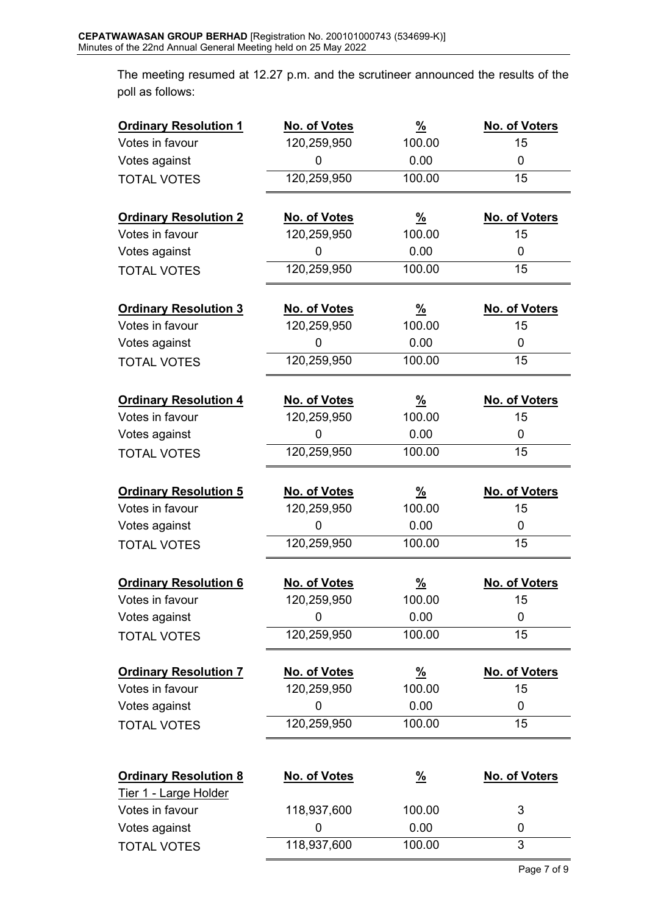The meeting resumed at 12.27 p.m. and the scrutineer announced the results of the poll as follows:

| <b>Ordinary Resolution 1</b>                          | No. of Votes | $\frac{9}{6}$ | No. of Voters |
|-------------------------------------------------------|--------------|---------------|---------------|
| Votes in favour                                       | 120,259,950  | 100.00        | 15            |
| Votes against                                         | 0            | 0.00          | 0             |
| <b>TOTAL VOTES</b>                                    | 120,259,950  | 100.00        | 15            |
| <b>Ordinary Resolution 2</b>                          | No. of Votes | $\frac{9}{6}$ | No. of Voters |
| Votes in favour                                       | 120,259,950  | 100.00        | 15            |
| Votes against                                         | 0            | 0.00          | 0             |
| <b>TOTAL VOTES</b>                                    | 120,259,950  | 100.00        | 15            |
| <b>Ordinary Resolution 3</b>                          | No. of Votes | $\frac{9}{6}$ | No. of Voters |
| Votes in favour                                       | 120,259,950  | 100.00        | 15            |
| Votes against                                         | 0            | 0.00          | 0             |
| <b>TOTAL VOTES</b>                                    | 120,259,950  | 100.00        | 15            |
| <b>Ordinary Resolution 4</b>                          | No. of Votes | $\frac{9}{6}$ | No. of Voters |
| Votes in favour                                       | 120,259,950  | 100.00        | 15            |
| Votes against                                         | 0            | 0.00          | 0             |
| <b>TOTAL VOTES</b>                                    | 120,259,950  | 100.00        | 15            |
|                                                       |              |               |               |
| <b>Ordinary Resolution 5</b>                          | No. of Votes | $\frac{9}{6}$ | No. of Voters |
| Votes in favour                                       | 120,259,950  | 100.00        | 15            |
| Votes against                                         | 0            | 0.00          | 0             |
| <b>TOTAL VOTES</b>                                    | 120,259,950  | 100.00        | 15            |
| <b>Ordinary Resolution 6</b>                          | No. of Votes | $\frac{9}{6}$ | No. of Voters |
| Votes in favour                                       | 120,259,950  | 100.00        | 15            |
| Votes against                                         | 0            | 0.00          | 0             |
| <b>TOTAL VOTES</b>                                    | 120,259,950  | 100.00        | 15            |
| <b>Ordinary Resolution 7</b>                          | No. of Votes | $\frac{9}{6}$ | No. of Voters |
| Votes in favour                                       | 120,259,950  | 100.00        | 15            |
| Votes against                                         | 0            | 0.00          | 0             |
| <b>TOTAL VOTES</b>                                    | 120,259,950  | 100.00        | 15            |
|                                                       |              |               |               |
| <b>Ordinary Resolution 8</b><br>Tier 1 - Large Holder | No. of Votes | <u>%</u>      | No. of Voters |
| Votes in favour                                       | 118,937,600  | 100.00        | 3             |
| Votes against                                         | 0            | 0.00          | 0             |
| <b>TOTAL VOTES</b>                                    | 118,937,600  | 100.00        | 3             |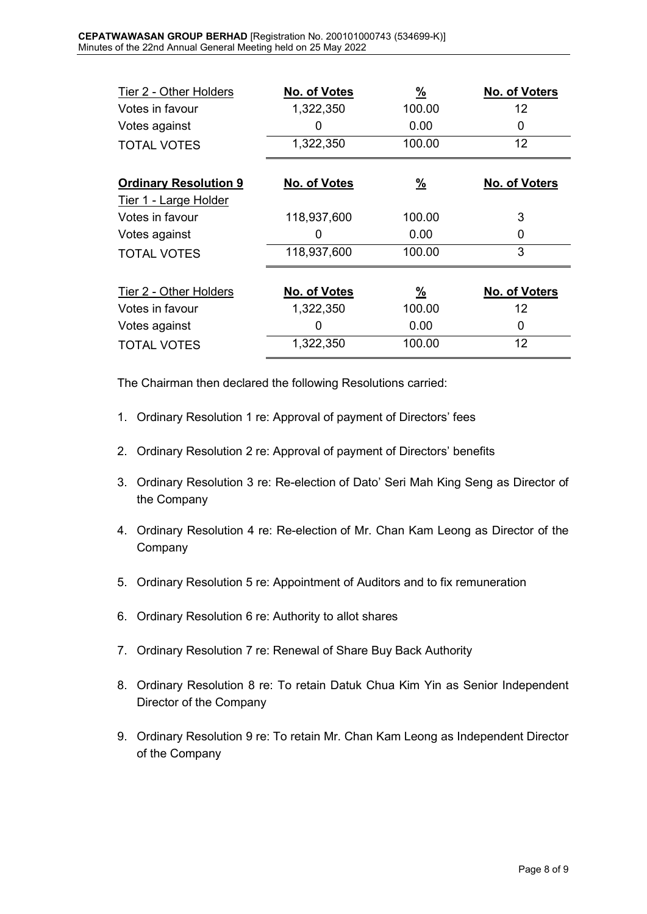| Tier 2 - Other Holders                                | No. of Votes | $\frac{9}{6}$ | No. of Voters |
|-------------------------------------------------------|--------------|---------------|---------------|
| Votes in favour                                       | 1,322,350    | 100.00        | 12            |
| Votes against                                         | 0            | 0.00          | 0             |
| <b>TOTAL VOTES</b>                                    | 1,322,350    | 100.00        | 12            |
| <b>Ordinary Resolution 9</b><br>Tier 1 - Large Holder | No. of Votes | $\frac{9}{6}$ | No. of Voters |
| Votes in favour                                       | 118,937,600  | 100.00        | 3             |
| Votes against                                         | 0            | 0.00          | 0             |
| <b>TOTAL VOTES</b>                                    | 118,937,600  | 100.00        | 3             |
|                                                       |              |               |               |
| Tier 2 - Other Holders                                | No. of Votes | $\frac{9}{6}$ | No. of Voters |
| Votes in favour                                       | 1,322,350    | 100.00        | 12            |
| Votes against                                         | 0            | 0.00          | 0             |
| <b>TOTAL VOTES</b>                                    | 1,322,350    | 100.00        | 12            |

The Chairman then declared the following Resolutions carried:

- 1. Ordinary Resolution 1 re: Approval of payment of Directors' fees
- 2. Ordinary Resolution 2 re: Approval of payment of Directors' benefits
- 3. Ordinary Resolution 3 re: Re-election of Dato' Seri Mah King Seng as Director of the Company
- 4. Ordinary Resolution 4 re: Re-election of Mr. Chan Kam Leong as Director of the Company
- 5. Ordinary Resolution 5 re: Appointment of Auditors and to fix remuneration
- 6. Ordinary Resolution 6 re: Authority to allot shares
- 7. Ordinary Resolution 7 re: Renewal of Share Buy Back Authority
- 8. Ordinary Resolution 8 re: To retain Datuk Chua Kim Yin as Senior Independent Director of the Company
- 9. Ordinary Resolution 9 re: To retain Mr. Chan Kam Leong as Independent Director of the Company